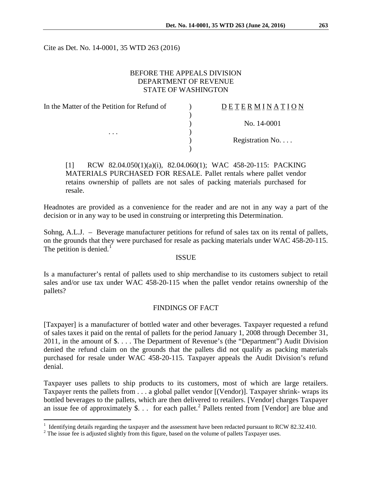Cite as Det. No. 14-0001, 35 WTD 263 (2016)

# BEFORE THE APPEALS DIVISION DEPARTMENT OF REVENUE STATE OF WASHINGTON

| In the Matter of the Petition for Refund of | DETERMINATION   |
|---------------------------------------------|-----------------|
|                                             |                 |
|                                             | No. 14-0001     |
| $\cdots$                                    |                 |
|                                             | Registration No |
|                                             |                 |

[1] RCW 82.04.050(1)(a)(i), 82.04.060(1); WAC 458-20-115: PACKING MATERIALS PURCHASED FOR RESALE. Pallet rentals where pallet vendor retains ownership of pallets are not sales of packing materials purchased for resale.

Headnotes are provided as a convenience for the reader and are not in any way a part of the decision or in any way to be used in construing or interpreting this Determination.

Sohng, A.L.J. – Beverage manufacturer petitions for refund of sales tax on its rental of pallets, on the grounds that they were purchased for resale as packing materials under WAC 458-20-115. The petition is denied.<sup>[1](#page-0-0)</sup>

## ISSUE

Is a manufacturer's rental of pallets used to ship merchandise to its customers subject to retail sales and/or use tax under WAC 458-20-115 when the pallet vendor retains ownership of the pallets?

#### FINDINGS OF FACT

[Taxpayer] is a manufacturer of bottled water and other beverages. Taxpayer requested a refund of sales taxes it paid on the rental of pallets for the period January 1, 2008 through December 31, 2011, in the amount of \$. . . . The Department of Revenue's (the "Department") Audit Division denied the refund claim on the grounds that the pallets did not qualify as packing materials purchased for resale under WAC 458-20-115. Taxpayer appeals the Audit Division's refund denial.

Taxpayer uses pallets to ship products to its customers, most of which are large retailers. Taxpayer rents the pallets from . . . a global pallet vendor [(Vendor)]. Taxpayer shrink- wraps its bottled beverages to the pallets, which are then delivered to retailers. [Vendor] charges Taxpayer an issue fee of approximately \$. . . for each pallet.<sup>[2](#page-0-1)</sup> Pallets rented from [Vendor] are blue and

<span id="page-0-0"></span><sup>&</sup>lt;sup>1</sup> Identifying details regarding the taxpayer and the assessment have been redacted pursuant to RCW 82.32.410. <sup>2</sup> The issue fee is adjusted slightly from this figure, based on the volume of pallets Taxpayer uses.

<span id="page-0-1"></span>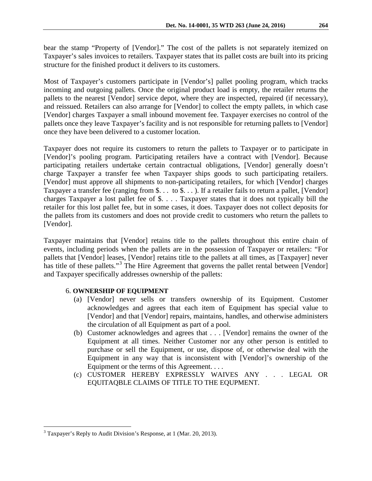bear the stamp "Property of [Vendor]." The cost of the pallets is not separately itemized on Taxpayer's sales invoices to retailers. Taxpayer states that its pallet costs are built into its pricing structure for the finished product it delivers to its customers.

Most of Taxpayer's customers participate in [Vendor's] pallet pooling program, which tracks incoming and outgoing pallets. Once the original product load is empty, the retailer returns the pallets to the nearest [Vendor] service depot, where they are inspected, repaired (if necessary), and reissued. Retailers can also arrange for [Vendor] to collect the empty pallets, in which case [Vendor] charges Taxpayer a small inbound movement fee. Taxpayer exercises no control of the pallets once they leave Taxpayer's facility and is not responsible for returning pallets to [Vendor] once they have been delivered to a customer location.

Taxpayer does not require its customers to return the pallets to Taxpayer or to participate in [Vendor]'s pooling program. Participating retailers have a contract with [Vendor]. Because participating retailers undertake certain contractual obligations, [Vendor] generally doesn't charge Taxpayer a transfer fee when Taxpayer ships goods to such participating retailers. [Vendor] must approve all shipments to non-participating retailers, for which [Vendor] charges Taxpayer a transfer fee (ranging from \$. . . to \$. . . ). If a retailer fails to return a pallet, [Vendor] charges Taxpayer a lost pallet fee of \$. . . . Taxpayer states that it does not typically bill the retailer for this lost pallet fee, but in some cases, it does. Taxpayer does not collect deposits for the pallets from its customers and does not provide credit to customers who return the pallets to [Vendor].

Taxpayer maintains that [Vendor] retains title to the pallets throughout this entire chain of events, including periods when the pallets are in the possession of Taxpayer or retailers: "For pallets that [Vendor] leases, [Vendor] retains title to the pallets at all times, as [Taxpayer] never has title of these pallets."<sup>[3](#page-1-0)</sup> The Hire Agreement that governs the pallet rental between [Vendor] and Taxpayer specifically addresses ownership of the pallets:

# 6. **OWNERSHIP OF EQUIPMENT**

- (a) [Vendor] never sells or transfers ownership of its Equipment. Customer acknowledges and agrees that each item of Equipment has special value to [Vendor] and that [Vendor] repairs, maintains, handles, and otherwise administers the circulation of all Equipment as part of a pool.
- (b) Customer acknowledges and agrees that . . . [Vendor] remains the owner of the Equipment at all times. Neither Customer nor any other person is entitled to purchase or sell the Equipment, or use, dispose of, or otherwise deal with the Equipment in any way that is inconsistent with [Vendor]'s ownership of the Equipment or the terms of this Agreement. . . .
- (c) CUSTOMER HEREBY EXPRESSLY WAIVES ANY . . . LEGAL OR EQUITAQBLE CLAIMS OF TITLE TO THE EQUPMENT.

<span id="page-1-0"></span> $3$  Taxpayer's Reply to Audit Division's Response, at 1 (Mar. 20, 2013).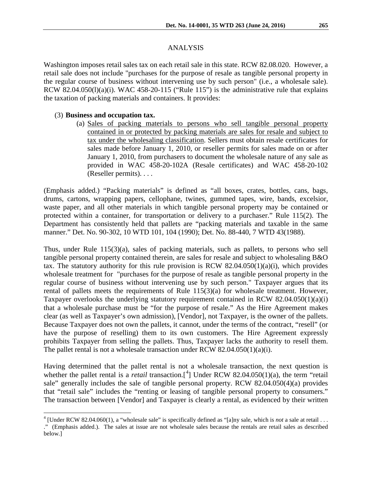#### ANALYSIS

Washington imposes retail sales tax on each retail sale in this state. RCW 82.08.020. However, a retail sale does not include "purchases for the purpose of resale as tangible personal property in the regular course of business without intervening use by such person" (i.e., a wholesale sale). RCW 82.04.050(l)(a)(i). WAC 458-20-115 ("Rule 115") is the administrative rule that explains the taxation of packing materials and containers. It provides:

#### (3) **Business and occupation tax.**

(a) Sales of packing materials to persons who sell tangible personal property contained in or protected by packing materials are sales for resale and subject to tax under the wholesaling classification. Sellers must obtain resale certificates for sales made before January 1, 2010, or reseller permits for sales made on or after January 1, 2010, from purchasers to document the wholesale nature of any sale as provided in WAC [458-20-102A](http://apps.leg.wa.gov/wac/default.aspx?cite=458-20-102A) (Resale certificates) and WAC [458-20-102](http://apps.leg.wa.gov/wac/default.aspx?cite=458-20-102) (Reseller permits). . . .

(Emphasis added.) "Packing materials" is defined as "all boxes, crates, bottles, cans, bags, drums, cartons, wrapping papers, cellophane, twines, gummed tapes, wire, bands, excelsior, waste paper, and all other materials in which tangible personal property may be contained or protected within a container, for transportation or delivery to a purchaser." Rule 115(2). The Department has consistently held that pallets are "packing materials and taxable in the same manner." Det. No. 90-302, 10 WTD 101, 104 (1990); Det. No. 88-440, 7 WTD 43(1988).

Thus, under Rule 115(3)(a), sales of packing materials, such as pallets, to persons who sell tangible personal property contained therein, are sales for resale and subject to wholesaling B&O tax. The statutory authority for this rule provision is RCW 82.04.050(1)(a)(i), which provides wholesale treatment for "purchases for the purpose of resale as tangible personal property in the regular course of business without intervening use by such person." Taxpayer argues that its rental of pallets meets the requirements of Rule 115(3)(a) for wholesale treatment. However, Taxpayer overlooks the underlying statutory requirement contained in RCW 82.04.050(1)(a)(i) that a wholesale purchase must be "for the purpose of resale." As the Hire Agreement makes clear (as well as Taxpayer's own admission), [Vendor], not Taxpayer, is the owner of the pallets. Because Taxpayer does not own the pallets, it cannot, under the terms of the contract, "resell" (or have the purpose of reselling) them to its own customers. The Hire Agreement expressly prohibits Taxpayer from selling the pallets. Thus, Taxpayer lacks the authority to resell them. The pallet rental is not a wholesale transaction under RCW  $82.04.050(1)(a)(i)$ .

Having determined that the pallet rental is not a wholesale transaction, the next question is whether the pallet rental is a *retail* transaction.<sup>[[4](#page-2-0)</sup>] Under RCW 82.04.050(1)(a), the term "retail sale" generally includes the sale of tangible personal property. RCW 82.04.050(4)(a) provides that "retail sale" includes the "renting or leasing of tangible personal property to consumers." The transaction between [Vendor] and Taxpayer is clearly a rental, as evidenced by their written

 $4$  [Under RCW 82.04.060(1), a "wholesale sale" is specifically defined as "[a]ny sale, which is *not* a sale at retail . . .

<span id="page-2-0"></span><sup>.&</sup>quot; (Emphasis added.). The sales at issue are not wholesale sales because the rentals are retail sales as described below.]